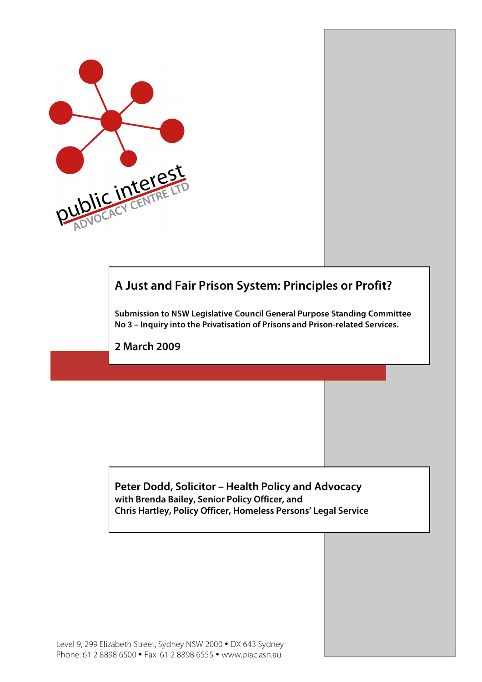

## **A Just and Fair Prison System: Principles or Profit?**

**Submission to NSW Legislative Council General Purpose Standing Committee No 3 – Inquiry into the Privatisation of Prisons and Prison-related Services.**

**2 March 2009**

**Peter Dodd, Solicitor – Health Policy and Advocacy with Brenda Bailey, Senior Policy Officer, and Chris Hartley, Policy Officer, Homeless Persons' Legal Service**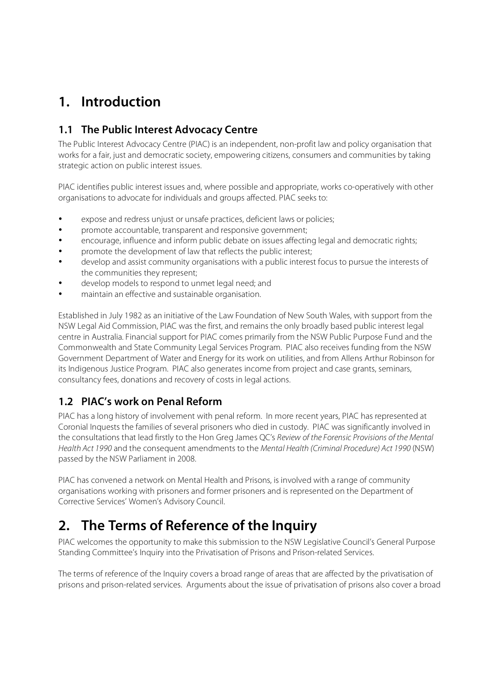# **1. Introduction**

### **1.1 The Public Interest Advocacy Centre**

The Public Interest Advocacy Centre (PIAC) is an independent, non-profit law and policy organisation that works for a fair, just and democratic society, empowering citizens, consumers and communities by taking strategic action on public interest issues.

PIAC identifies public interest issues and, where possible and appropriate, works co-operatively with other organisations to advocate for individuals and groups affected. PIAC seeks to:

- expose and redress unjust or unsafe practices, deficient laws or policies;
- promote accountable, transparent and responsive government;
- encourage, influence and inform public debate on issues affecting legal and democratic rights;
- promote the development of law that reflects the public interest;
- develop and assist community organisations with a public interest focus to pursue the interests of the communities they represent;
- develop models to respond to unmet legal need; and
- maintain an effective and sustainable organisation.

Established in July 1982 as an initiative of the Law Foundation of New South Wales, with support from the NSW Legal Aid Commission, PIAC was the first, and remains the only broadly based public interest legal centre in Australia. Financial support for PIAC comes primarily from the NSW Public Purpose Fund and the Commonwealth and State Community Legal Services Program. PIAC also receives funding from the NSW Government Department of Water and Energy for its work on utilities, and from Allens Arthur Robinson for its Indigenous Justice Program. PIAC also generates income from project and case grants, seminars, consultancy fees, donations and recovery of costs in legal actions.

#### **1.2 PIAC's work on Penal Reform**

PIAC has a long history of involvement with penal reform. In more recent years, PIAC has represented at Coronial Inquests the families of several prisoners who died in custody. PIAC was significantly involved in the consultations that lead firstly to the Hon Greg James QC's Review of the Forensic Provisions of the Mental Health Act 1990 and the consequent amendments to the Mental Health (Criminal Procedure) Act 1990 (NSW) passed by the NSW Parliament in 2008.

PIAC has convened a network on Mental Health and Prisons, is involved with a range of community organisations working with prisoners and former prisoners and is represented on the Department of Corrective Services' Women's Advisory Council.

## **2. The Terms of Reference of the Inquiry**

PIAC welcomes the opportunity to make this submission to the NSW Legislative Council's General Purpose Standing Committee's Inquiry into the Privatisation of Prisons and Prison-related Services.

The terms of reference of the Inquiry covers a broad range of areas that are affected by the privatisation of prisons and prison-related services. Arguments about the issue of privatisation of prisons also cover a broad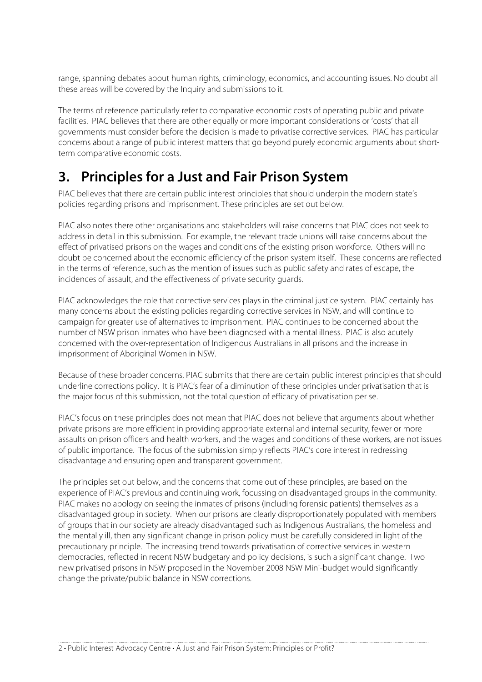range, spanning debates about human rights, criminology, economics, and accounting issues. No doubt all these areas will be covered by the Inquiry and submissions to it.

The terms of reference particularly refer to comparative economic costs of operating public and private facilities. PIAC believes that there are other equally or more important considerations or 'costs' that all governments must consider before the decision is made to privatise corrective services. PIAC has particular concerns about a range of public interest matters that go beyond purely economic arguments about shortterm comparative economic costs.

# **3. Principles for a Just and Fair Prison System**

PIAC believes that there are certain public interest principles that should underpin the modern state's policies regarding prisons and imprisonment. These principles are set out below.

PIAC also notes there other organisations and stakeholders will raise concerns that PIAC does not seek to address in detail in this submission. For example, the relevant trade unions will raise concerns about the effect of privatised prisons on the wages and conditions of the existing prison workforce. Others will no doubt be concerned about the economic efficiency of the prison system itself. These concerns are reflected in the terms of reference, such as the mention of issues such as public safety and rates of escape, the incidences of assault, and the effectiveness of private security guards.

PIAC acknowledges the role that corrective services plays in the criminal justice system. PIAC certainly has many concerns about the existing policies regarding corrective services in NSW, and will continue to campaign for greater use of alternatives to imprisonment. PIAC continues to be concerned about the number of NSW prison inmates who have been diagnosed with a mental illness. PIAC is also acutely concerned with the over-representation of Indigenous Australians in all prisons and the increase in imprisonment of Aboriginal Women in NSW.

Because of these broader concerns, PIAC submits that there are certain public interest principles that should underline corrections policy. It is PIAC's fear of a diminution of these principles under privatisation that is the major focus of this submission, not the total question of efficacy of privatisation per se.

PIAC's focus on these principles does not mean that PIAC does not believe that arguments about whether private prisons are more efficient in providing appropriate external and internal security, fewer or more assaults on prison officers and health workers, and the wages and conditions of these workers, are not issues of public importance. The focus of the submission simply reflects PIAC's core interest in redressing disadvantage and ensuring open and transparent government.

The principles set out below, and the concerns that come out of these principles, are based on the experience of PIAC's previous and continuing work, focussing on disadvantaged groups in the community. PIAC makes no apology on seeing the inmates of prisons (including forensic patients) themselves as a disadvantaged group in society. When our prisons are clearly disproportionately populated with members of groups that in our society are already disadvantaged such as Indigenous Australians, the homeless and the mentally ill, then any significant change in prison policy must be carefully considered in light of the precautionary principle. The increasing trend towards privatisation of corrective services in western democracies, reflected in recent NSW budgetary and policy decisions, is such a significant change. Two new privatised prisons in NSW proposed in the November 2008 NSW Mini-budget would significantly change the private/public balance in NSW corrections.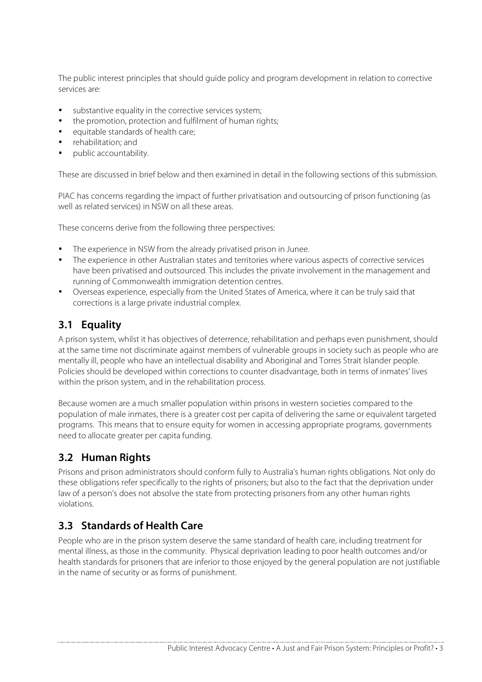The public interest principles that should guide policy and program development in relation to corrective services are:

- substantive equality in the corrective services system;
- the promotion, protection and fulfilment of human rights;
- equitable standards of health care;
- rehabilitation; and
- public accountability.

These are discussed in brief below and then examined in detail in the following sections of this submission.

PIAC has concerns regarding the impact of further privatisation and outsourcing of prison functioning (as well as related services) in NSW on all these areas.

These concerns derive from the following three perspectives:

- The experience in NSW from the already privatised prison in Junee.
- The experience in other Australian states and territories where various aspects of corrective services have been privatised and outsourced. This includes the private involvement in the management and running of Commonwealth immigration detention centres.
- Overseas experience, especially from the United States of America, where it can be truly said that corrections is a large private industrial complex.

#### **3.1 Equality**

A prison system, whilst it has objectives of deterrence, rehabilitation and perhaps even punishment, should at the same time not discriminate against members of vulnerable groups in society such as people who are mentally ill, people who have an intellectual disability and Aboriginal and Torres Strait Islander people. Policies should be developed within corrections to counter disadvantage, both in terms of inmates' lives within the prison system, and in the rehabilitation process.

Because women are a much smaller population within prisons in western societies compared to the population of male inmates, there is a greater cost per capita of delivering the same or equivalent targeted programs. This means that to ensure equity for women in accessing appropriate programs, governments need to allocate greater per capita funding.

#### **3.2 Human Rights**

Prisons and prison administrators should conform fully to Australia's human rights obligations. Not only do these obligations refer specifically to the rights of prisoners; but also to the fact that the deprivation under law of a person's does not absolve the state from protecting prisoners from any other human rights violations.

#### **3.3 Standards of Health Care**

People who are in the prison system deserve the same standard of health care, including treatment for mental illness, as those in the community. Physical deprivation leading to poor health outcomes and/or health standards for prisoners that are inferior to those enjoyed by the general population are not justifiable in the name of security or as forms of punishment.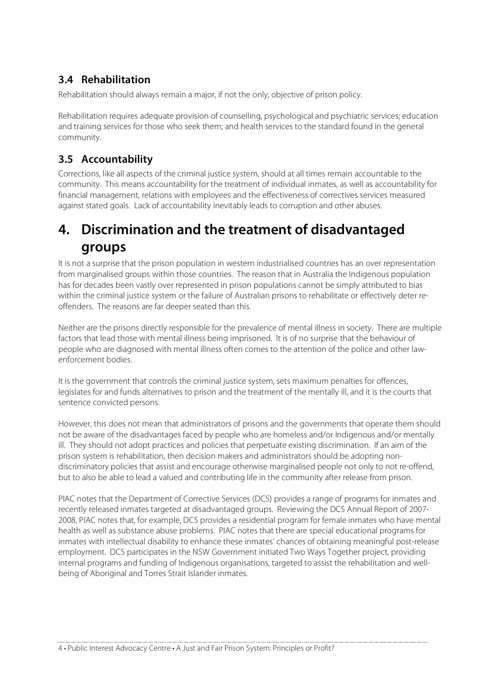## **3.4 Rehabilitation**

Rehabilitation should always remain a major, if not the only, objective of prison policy.

Rehabilitation requires adequate provision of counselling, psychological and psychiatric services; education and training services for those who seek them; and health services to the standard found in the general community.

### **3.5 Accountability**

Corrections, like all aspects of the criminal justice system, should at all times remain accountable to the community. This means accountability for the treatment of individual inmates, as well as accountability for financial management, relations with employees and the effectiveness of correctives services measured against stated goals. Lack of accountability inevitably leads to corruption and other abuses.

## **4. Discrimination and the treatment of disadvantaged groups**

It is not a surprise that the prison population in western industrialised countries has an over representation from marginalised groups within those countries. The reason that in Australia the Indigenous population has for decades been vastly over represented in prison populations cannot be simply attributed to bias within the criminal justice system or the failure of Australian prisons to rehabilitate or effectively deter reoffenders. The reasons are far deeper seated than this.

Neither are the prisons directly responsible for the prevalence of mental illness in society. There are multiple factors that lead those with mental illness being imprisoned. It is of no surprise that the behaviour of people who are diagnosed with mental illness often comes to the attention of the police and other lawenforcement bodies.

It is the government that controls the criminal justice system, sets maximum penalties for offences, legislates for and funds alternatives to prison and the treatment of the mentally ill, and it is the courts that sentence convicted persons.

However, this does not mean that administrators of prisons and the governments that operate them should not be aware of the disadvantages faced by people who are homeless and/or Indigenous and/or mentally ill. They should not adopt practices and policies that perpetuate existing discrimination. If an aim of the prison system is rehabilitation, then decision makers and administrators should be adopting nondiscriminatory policies that assist and encourage otherwise marginalised people not only to not re-offend, but to also be able to lead a valued and contributing life in the community after release from prison.

PIAC notes that the Department of Corrective Services (DCS) provides a range of programs for inmates and recently released inmates targeted at disadvantaged groups. Reviewing the DCS Annual Report of 2007- 2008, PIAC notes that, for example, DCS provides a residential program for female inmates who have mental health as well as substance abuse problems. PIAC notes that there are special educational programs for inmates with intellectual disability to enhance these inmates' chances of obtaining meaningful post-release employment. DCS participates in the NSW Government initiated Two Ways Together project, providing internal programs and funding of Indigenous organisations, targeted to assist the rehabilitation and wellbeing of Aboriginal and Torres Strait Islander inmates.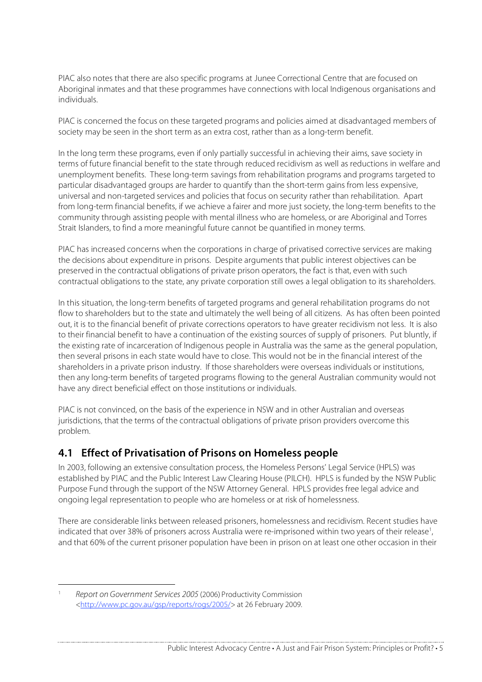PIAC also notes that there are also specific programs at Junee Correctional Centre that are focused on Aboriginal inmates and that these programmes have connections with local Indigenous organisations and individuals.

PIAC is concerned the focus on these targeted programs and policies aimed at disadvantaged members of society may be seen in the short term as an extra cost, rather than as a long-term benefit.

In the long term these programs, even if only partially successful in achieving their aims, save society in terms of future financial benefit to the state through reduced recidivism as well as reductions in welfare and unemployment benefits. These long-term savings from rehabilitation programs and programs targeted to particular disadvantaged groups are harder to quantify than the short-term gains from less expensive, universal and non-targeted services and policies that focus on security rather than rehabilitation. Apart from long-term financial benefits, if we achieve a fairer and more just society, the long-term benefits to the community through assisting people with mental illness who are homeless, or are Aboriginal and Torres Strait Islanders, to find a more meaningful future cannot be quantified in money terms.

PIAC has increased concerns when the corporations in charge of privatised corrective services are making the decisions about expenditure in prisons. Despite arguments that public interest objectives can be preserved in the contractual obligations of private prison operators, the fact is that, even with such contractual obligations to the state, any private corporation still owes a legal obligation to its shareholders.

In this situation, the long-term benefits of targeted programs and general rehabilitation programs do not flow to shareholders but to the state and ultimately the well being of all citizens. As has often been pointed out, it is to the financial benefit of private corrections operators to have greater recidivism not less. It is also to their financial benefit to have a continuation of the existing sources of supply of prisoners. Put bluntly, if the existing rate of incarceration of Indigenous people in Australia was the same as the general population, then several prisons in each state would have to close. This would not be in the financial interest of the shareholders in a private prison industry. If those shareholders were overseas individuals or institutions, then any long-term benefits of targeted programs flowing to the general Australian community would not have any direct beneficial effect on those institutions or individuals.

PIAC is not convinced, on the basis of the experience in NSW and in other Australian and overseas jurisdictions, that the terms of the contractual obligations of private prison providers overcome this problem.

#### **4.1 Effect of Privatisation of Prisons on Homeless people**

In 2003, following an extensive consultation process, the Homeless Persons' Legal Service (HPLS) was established by PIAC and the Public Interest Law Clearing House (PILCH). HPLS is funded by the NSW Public Purpose Fund through the support of the NSW Attorney General. HPLS provides free legal advice and ongoing legal representation to people who are homeless or at risk of homelessness.

There are considerable links between released prisoners, homelessness and recidivism. Recent studies have indicated that over 38% of prisoners across Australia were re-imprisoned within two years of their release<sup>1</sup>, and that 60% of the current prisoner population have been in prison on at least one other occasion in their

Report on Government Services 2005 (2006) Productivity Commission <http://www.pc.gov.au/gsp/reports/rogs/2005/> at 26 February 2009.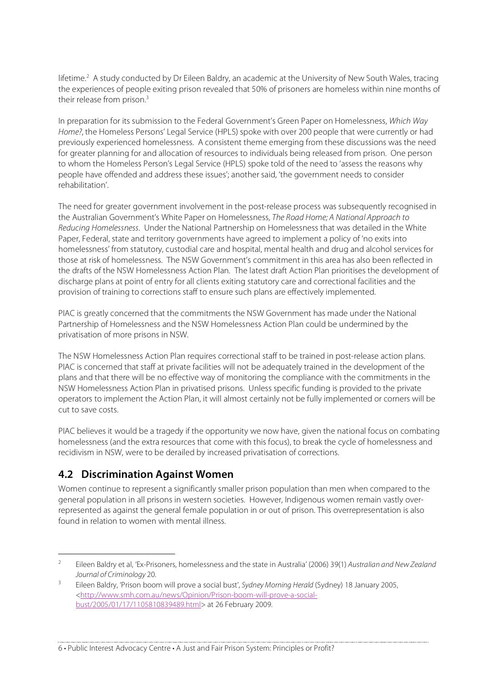lifetime.<sup>2</sup> A study conducted by Dr Eileen Baldry, an academic at the University of New South Wales, tracing the experiences of people exiting prison revealed that 50% of prisoners are homeless within nine months of their release from prison.<sup>3</sup>

In preparation for its submission to the Federal Government's Green Paper on Homelessness, Which Way Home?, the Homeless Persons' Legal Service (HPLS) spoke with over 200 people that were currently or had previously experienced homelessness. A consistent theme emerging from these discussions was the need for greater planning for and allocation of resources to individuals being released from prison. One person to whom the Homeless Person's Legal Service (HPLS) spoke told of the need to 'assess the reasons why people have offended and address these issues'; another said, 'the government needs to consider rehabilitation'.

The need for greater government involvement in the post-release process was subsequently recognised in the Australian Government's White Paper on Homelessness, The Road Home; A National Approach to Reducing Homelessness. Under the National Partnership on Homelessness that was detailed in the White Paper, Federal, state and territory governments have agreed to implement a policy of 'no exits into homelessness' from statutory, custodial care and hospital, mental health and drug and alcohol services for those at risk of homelessness. The NSW Government's commitment in this area has also been reflected in the drafts of the NSW Homelessness Action Plan. The latest draft Action Plan prioritises the development of discharge plans at point of entry for all clients exiting statutory care and correctional facilities and the provision of training to corrections staff to ensure such plans are effectively implemented.

PIAC is greatly concerned that the commitments the NSW Government has made under the National Partnership of Homelessness and the NSW Homelessness Action Plan could be undermined by the privatisation of more prisons in NSW.

The NSW Homelessness Action Plan requires correctional staff to be trained in post-release action plans. PIAC is concerned that staff at private facilities will not be adequately trained in the development of the plans and that there will be no effective way of monitoring the compliance with the commitments in the NSW Homelessness Action Plan in privatised prisons. Unless specific funding is provided to the private operators to implement the Action Plan, it will almost certainly not be fully implemented or corners will be cut to save costs.

PIAC believes it would be a tragedy if the opportunity we now have, given the national focus on combating homelessness (and the extra resources that come with this focus), to break the cycle of homelessness and recidivism in NSW, were to be derailed by increased privatisation of corrections.

#### **4.2 Discrimination Against Women**

Women continue to represent a significantly smaller prison population than men when compared to the general population in all prisons in western societies. However, Indigenous women remain vastly overrepresented as against the general female population in or out of prison. This overrepresentation is also found in relation to women with mental illness.

<sup>&</sup>lt;sup>2</sup> Eileen Baldry et al, 'Ex-Prisoners, homelessness and the state in Australia' (2006) 39(1) Australian and New Zealand Journal of Criminology 20.

<sup>3</sup> Eileen Baldry, 'Prison boom will prove a social bust', Sydney Morning Herald (Sydney) 18 January 2005, <http://www.smh.com.au/news/Opinion/Prison-boom-will-prove-a-socialbust/2005/01/17/1105810839489.html> at 26 February 2009.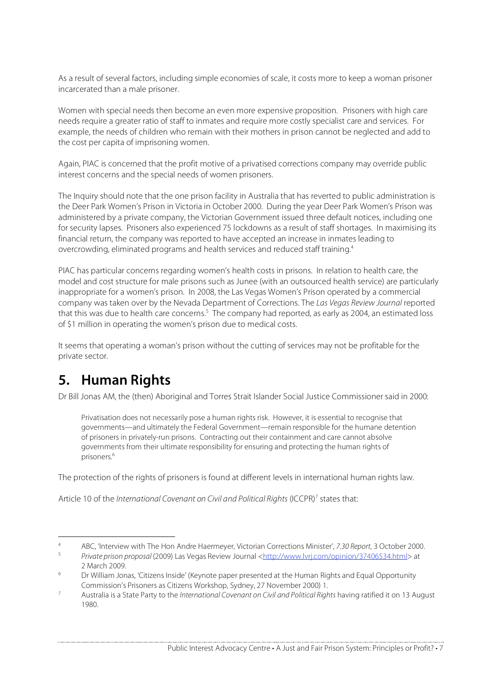As a result of several factors, including simple economies of scale, it costs more to keep a woman prisoner incarcerated than a male prisoner.

Women with special needs then become an even more expensive proposition. Prisoners with high care needs require a greater ratio of staff to inmates and require more costly specialist care and services. For example, the needs of children who remain with their mothers in prison cannot be neglected and add to the cost per capita of imprisoning women.

Again, PIAC is concerned that the profit motive of a privatised corrections company may override public interest concerns and the special needs of women prisoners.

The Inquiry should note that the one prison facility in Australia that has reverted to public administration is the Deer Park Women's Prison in Victoria in October 2000. During the year Deer Park Women's Prison was administered by a private company, the Victorian Government issued three default notices, including one for security lapses. Prisoners also experienced 75 lockdowns as a result of staff shortages. In maximising its financial return, the company was reported to have accepted an increase in inmates leading to overcrowding, eliminated programs and health services and reduced staff training.4

PIAC has particular concerns regarding women's health costs in prisons. In relation to health care, the model and cost structure for male prisons such as Junee (with an outsourced health service) are particularly inappropriate for a women's prison. In 2008, the Las Vegas Women's Prison operated by a commercial company was taken over by the Nevada Department of Corrections. The Las Vegas Review Journal reported that this was due to health care concerns.<sup>5</sup> The company had reported, as early as 2004, an estimated loss of \$1 million in operating the women's prison due to medical costs.

It seems that operating a woman's prison without the cutting of services may not be profitable for the private sector.

# **5. Human Rights**

Dr Bill Jonas AM, the (then) Aboriginal and Torres Strait Islander Social Justice Commissioner said in 2000:

Privatisation does not necessarily pose a human rights risk. However, it is essential to recognise that governments—and ultimately the Federal Government—remain responsible for the humane detention of prisoners in privately-run prisons. Contracting out their containment and care cannot absolve governments from their ultimate responsibility for ensuring and protecting the human rights of prisoners.6

The protection of the rights of prisoners is found at different levels in international human rights law.

Article 10 of the International Covenant on Civil and Political Rights (ICCPR)<sup>7</sup> states that:

<sup>4</sup> ABC, 'Interview with The Hon Andre Haermeyer, Victorian Corrections Minister', 7.30 Report, 3 October 2000.

Private prison proposal (2009) Las Vegas Review Journal <http://www.lvrj.com/opinion/37406534.html> at 2 March 2009.

<sup>6</sup> Dr William Jonas, 'Citizens Inside' (Keynote paper presented at the Human Rights and Equal Opportunity Commission's Prisoners as Citizens Workshop, Sydney, 27 November 2000) 1.

<sup>7</sup> Australia is a State Party to the International Covenant on Civil and Political Rights having ratified it on 13 August 1980.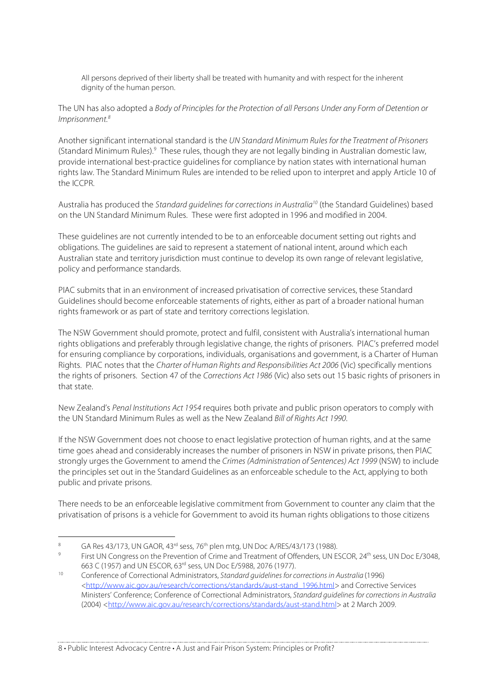All persons deprived of their liberty shall be treated with humanity and with respect for the inherent dignity of the human person.

The UN has also adopted a Body of Principles for the Protection of all Persons Under any Form of Detention or Imprisonment.8

Another significant international standard is the UN Standard Minimum Rules for the Treatment of Prisoners (Standard Minimum Rules).<sup>9</sup> These rules, though they are not legally binding in Australian domestic law, provide international best-practice guidelines for compliance by nation states with international human rights law. The Standard Minimum Rules are intended to be relied upon to interpret and apply Article 10 of the ICCPR.

Australia has produced the Standard quidelines for corrections in Australia<sup>10</sup> (the Standard Guidelines) based on the UN Standard Minimum Rules. These were first adopted in 1996 and modified in 2004.

These guidelines are not currently intended to be to an enforceable document setting out rights and obligations. The guidelines are said to represent a statement of national intent, around which each Australian state and territory jurisdiction must continue to develop its own range of relevant legislative, policy and performance standards.

PIAC submits that in an environment of increased privatisation of corrective services, these Standard Guidelines should become enforceable statements of rights, either as part of a broader national human rights framework or as part of state and territory corrections legislation.

The NSW Government should promote, protect and fulfil, consistent with Australia's international human rights obligations and preferably through legislative change, the rights of prisoners. PIAC's preferred model for ensuring compliance by corporations, individuals, organisations and government, is a Charter of Human Rights. PIAC notes that the Charter of Human Rights and Responsibilities Act 2006 (Vic) specifically mentions the rights of prisoners. Section 47 of the Corrections Act 1986 (Vic) also sets out 15 basic rights of prisoners in that state.

New Zealand's Penal Institutions Act 1954 requires both private and public prison operators to comply with the UN Standard Minimum Rules as well as the New Zealand Bill of Rights Act 1990.

If the NSW Government does not choose to enact legislative protection of human rights, and at the same time goes ahead and considerably increases the number of prisoners in NSW in private prisons, then PIAC strongly urges the Government to amend the Crimes (Administration of Sentences) Act 1999 (NSW) to include the principles set out in the Standard Guidelines as an enforceable schedule to the Act, applying to both public and private prisons.

There needs to be an enforceable legislative commitment from Government to counter any claim that the privatisation of prisons is a vehicle for Government to avoid its human rights obligations to those citizens

<sup>8</sup> GA Res 43/173, UN GAOR, 43<sup>rd</sup> sess, 76<sup>th</sup> plen mtg, UN Doc A/RES/43/173 (1988).

First UN Congress on the Prevention of Crime and Treatment of Offenders, UN ESCOR, 24<sup>th</sup> sess, UN Doc E/3048, 663 C (1957) and UN ESCOR, 63rd sess, UN Doc E/5988, 2076 (1977).

<sup>10</sup> Conference of Correctional Administrators, Standard guidelines for corrections in Australia (1996) <http://www.aic.gov.au/research/corrections/standards/aust-stand\_1996.html> and Corrective Services Ministers' Conference; Conference of Correctional Administrators, Standard guidelines for corrections in Australia (2004) <http://www.aic.gov.au/research/corrections/standards/aust-stand.html> at 2 March 2009.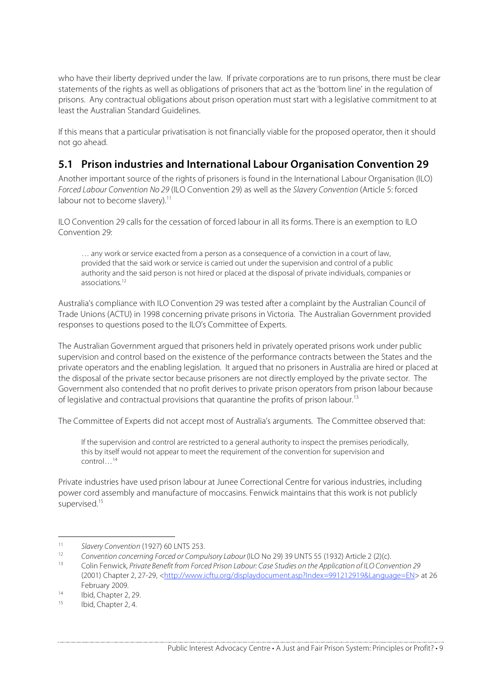who have their liberty deprived under the law. If private corporations are to run prisons, there must be clear statements of the rights as well as obligations of prisoners that act as the 'bottom line' in the regulation of prisons. Any contractual obligations about prison operation must start with a legislative commitment to at least the Australian Standard Guidelines.

If this means that a particular privatisation is not financially viable for the proposed operator, then it should not go ahead.

### **5.1 Prison industries and International Labour Organisation Convention 29**

Another important source of the rights of prisoners is found in the International Labour Organisation (ILO) Forced Labour Convention No 29 (ILO Convention 29) as well as the Slavery Convention (Article 5: forced labour not to become slavery).<sup>11</sup>

ILO Convention 29 calls for the cessation of forced labour in all its forms. There is an exemption to ILO Convention 29:

… any work or service exacted from a person as a consequence of a conviction in a court of law, provided that the said work or service is carried out under the supervision and control of a public authority and the said person is not hired or placed at the disposal of private individuals, companies or associations<sup>12</sup>

Australia's compliance with ILO Convention 29 was tested after a complaint by the Australian Council of Trade Unions (ACTU) in 1998 concerning private prisons in Victoria. The Australian Government provided responses to questions posed to the ILO's Committee of Experts.

The Australian Government argued that prisoners held in privately operated prisons work under public supervision and control based on the existence of the performance contracts between the States and the private operators and the enabling legislation. It argued that no prisoners in Australia are hired or placed at the disposal of the private sector because prisoners are not directly employed by the private sector. The Government also contended that no profit derives to private prison operators from prison labour because of legislative and contractual provisions that quarantine the profits of prison labour.<sup>13</sup>

The Committee of Experts did not accept most of Australia's arguments. The Committee observed that:

If the supervision and control are restricted to a general authority to inspect the premises periodically, this by itself would not appear to meet the requirement of the convention for supervision and control…14

Private industries have used prison labour at Junee Correctional Centre for various industries, including power cord assembly and manufacture of moccasins. Fenwick maintains that this work is not publicly supervised.<sup>15</sup>

<sup>11</sup> Slavery Convention (1927) 60 LNTS 253.<br>12 Convention concerning Forced or Commun

<sup>12</sup> Convention concerning Forced or Compulsory Labour (ILO No 29) 39 UNTS 55 (1932) Article 2 (2)(c).<br>13 Colin Fenwick, Private Benefit from Forced Prison Labour: Case Studies on the Application of ILO Conve

<sup>13</sup> Colin Fenwick, Private Benefit from Forced Prison Labour: Case Studies on the Application of ILO Convention 29 (2001) Chapter 2, 27-29, <http://www.icftu.org/displaydocument.asp?Index=991212919&Language=EN> at 26 February 2009.

<sup>&</sup>lt;sup>14</sup> Ibid, Chapter 2, 29.<br><sup>15</sup> Ibid, Chapter 2, 4.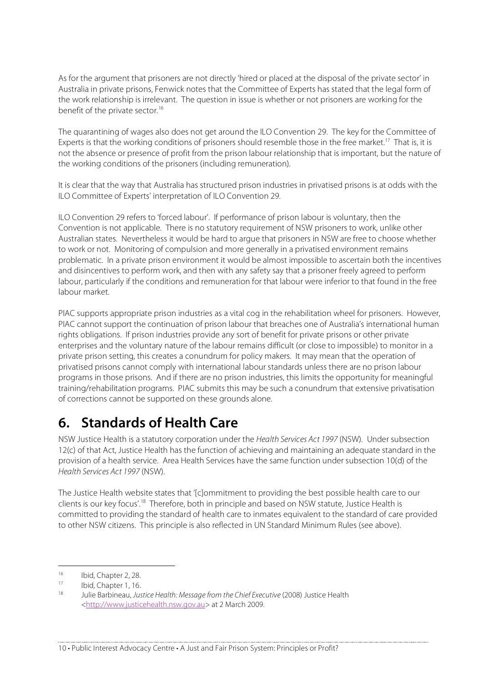As for the argument that prisoners are not directly 'hired or placed at the disposal of the private sector' in Australia in private prisons, Fenwick notes that the Committee of Experts has stated that the legal form of the work relationship is irrelevant. The question in issue is whether or not prisoners are working for the benefit of the private sector.<sup>16</sup>

The quarantining of wages also does not get around the ILO Convention 29. The key for the Committee of Experts is that the working conditions of prisoners should resemble those in the free market.<sup>17</sup> That is, it is not the absence or presence of profit from the prison labour relationship that is important, but the nature of the working conditions of the prisoners (including remuneration).

It is clear that the way that Australia has structured prison industries in privatised prisons is at odds with the ILO Committee of Experts' interpretation of ILO Convention 29.

ILO Convention 29 refers to 'forced labour'. If performance of prison labour is voluntary, then the Convention is not applicable. There is no statutory requirement of NSW prisoners to work, unlike other Australian states. Nevertheless it would be hard to argue that prisoners in NSW are free to choose whether to work or not. Monitoring of compulsion and more generally in a privatised environment remains problematic. In a private prison environment it would be almost impossible to ascertain both the incentives and disincentives to perform work, and then with any safety say that a prisoner freely agreed to perform labour, particularly if the conditions and remuneration for that labour were inferior to that found in the free labour market.

PIAC supports appropriate prison industries as a vital cog in the rehabilitation wheel for prisoners. However, PIAC cannot support the continuation of prison labour that breaches one of Australia's international human rights obligations. If prison industries provide any sort of benefit for private prisons or other private enterprises and the voluntary nature of the labour remains difficult (or close to impossible) to monitor in a private prison setting, this creates a conundrum for policy makers. It may mean that the operation of privatised prisons cannot comply with international labour standards unless there are no prison labour programs in those prisons. And if there are no prison industries, this limits the opportunity for meaningful training/rehabilitation programs. PIAC submits this may be such a conundrum that extensive privatisation of corrections cannot be supported on these grounds alone.

# **6. Standards of Health Care**

NSW Justice Health is a statutory corporation under the Health Services Act 1997 (NSW). Under subsection 12(c) of that Act, Justice Health has the function of achieving and maintaining an adequate standard in the provision of a health service. Area Health Services have the same function under subsection 10(d) of the Health Services Act 1997 (NSW).

The Justice Health website states that '[c]ommitment to providing the best possible health care to our clients is our key focus'.18 Therefore, both in principle and based on NSW statute, Justice Health is committed to providing the standard of health care to inmates equivalent to the standard of care provided to other NSW citizens. This principle is also reflected in UN Standard Minimum Rules (see above).

 $16$  Ibid, Chapter 2, 28.

 $17$  Ibid, Chapter 1, 16.

Julie Barbineau, Justice Health: Message from the Chief Executive (2008) Justice Health <http://www.justicehealth.nsw.gov.au> at 2 March 2009.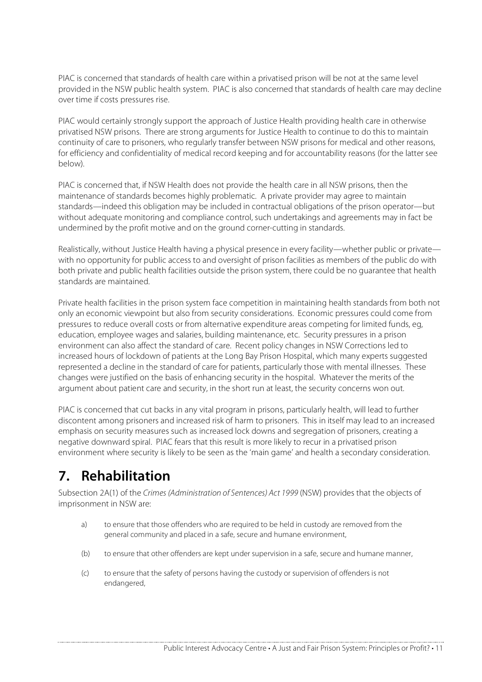PIAC is concerned that standards of health care within a privatised prison will be not at the same level provided in the NSW public health system. PIAC is also concerned that standards of health care may decline over time if costs pressures rise.

PIAC would certainly strongly support the approach of Justice Health providing health care in otherwise privatised NSW prisons. There are strong arguments for Justice Health to continue to do this to maintain continuity of care to prisoners, who regularly transfer between NSW prisons for medical and other reasons, for efficiency and confidentiality of medical record keeping and for accountability reasons (for the latter see below).

PIAC is concerned that, if NSW Health does not provide the health care in all NSW prisons, then the maintenance of standards becomes highly problematic. A private provider may agree to maintain standards—indeed this obligation may be included in contractual obligations of the prison operator—but without adequate monitoring and compliance control, such undertakings and agreements may in fact be undermined by the profit motive and on the ground corner-cutting in standards.

Realistically, without Justice Health having a physical presence in every facility—whether public or private with no opportunity for public access to and oversight of prison facilities as members of the public do with both private and public health facilities outside the prison system, there could be no guarantee that health standards are maintained.

Private health facilities in the prison system face competition in maintaining health standards from both not only an economic viewpoint but also from security considerations. Economic pressures could come from pressures to reduce overall costs or from alternative expenditure areas competing for limited funds, eg, education, employee wages and salaries, building maintenance, etc. Security pressures in a prison environment can also affect the standard of care. Recent policy changes in NSW Corrections led to increased hours of lockdown of patients at the Long Bay Prison Hospital, which many experts suggested represented a decline in the standard of care for patients, particularly those with mental illnesses. These changes were justified on the basis of enhancing security in the hospital. Whatever the merits of the argument about patient care and security, in the short run at least, the security concerns won out.

PIAC is concerned that cut backs in any vital program in prisons, particularly health, will lead to further discontent among prisoners and increased risk of harm to prisoners. This in itself may lead to an increased emphasis on security measures such as increased lock downs and segregation of prisoners, creating a negative downward spiral. PIAC fears that this result is more likely to recur in a privatised prison environment where security is likely to be seen as the 'main game' and health a secondary consideration.

# **7. Rehabilitation**

Subsection 2A(1) of the Crimes (Administration of Sentences) Act 1999 (NSW) provides that the objects of imprisonment in NSW are:

- a) to ensure that those offenders who are required to be held in custody are removed from the general community and placed in a safe, secure and humane environment,
- (b) to ensure that other offenders are kept under supervision in a safe, secure and humane manner,
- (c) to ensure that the safety of persons having the custody or supervision of offenders is not endangered,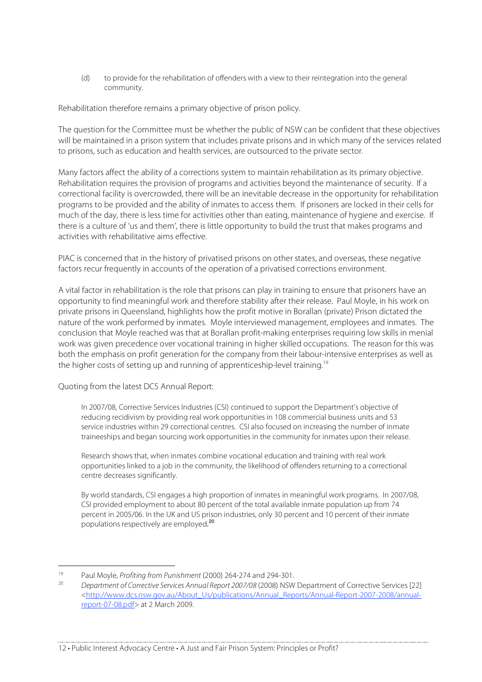(d) to provide for the rehabilitation of offenders with a view to their reintegration into the general community.

Rehabilitation therefore remains a primary objective of prison policy.

The question for the Committee must be whether the public of NSW can be confident that these objectives will be maintained in a prison system that includes private prisons and in which many of the services related to prisons, such as education and health services, are outsourced to the private sector.

Many factors affect the ability of a corrections system to maintain rehabilitation as its primary objective. Rehabilitation requires the provision of programs and activities beyond the maintenance of security. If a correctional facility is overcrowded, there will be an inevitable decrease in the opportunity for rehabilitation programs to be provided and the ability of inmates to access them. If prisoners are locked in their cells for much of the day, there is less time for activities other than eating, maintenance of hygiene and exercise. If there is a culture of 'us and them', there is little opportunity to build the trust that makes programs and activities with rehabilitative aims effective.

PIAC is concerned that in the history of privatised prisons on other states, and overseas, these negative factors recur frequently in accounts of the operation of a privatised corrections environment.

A vital factor in rehabilitation is the role that prisons can play in training to ensure that prisoners have an opportunity to find meaningful work and therefore stability after their release. Paul Moyle, in his work on private prisons in Queensland, highlights how the profit motive in Borallan (private) Prison dictated the nature of the work performed by inmates. Moyle interviewed management, employees and inmates. The conclusion that Moyle reached was that at Borallan profit-making enterprises requiring low skills in menial work was given precedence over vocational training in higher skilled occupations. The reason for this was both the emphasis on profit generation for the company from their labour-intensive enterprises as well as the higher costs of setting up and running of apprenticeship-level training.19

Quoting from the latest DCS Annual Report:

In 2007/08, Corrective Services Industries (CSI) continued to support the Department's objective of reducing recidivism by providing real work opportunities in 108 commercial business units and 53 service industries within 29 correctional centres. CSI also focused on increasing the number of inmate traineeships and began sourcing work opportunities in the community for inmates upon their release.

Research shows that, when inmates combine vocational education and training with real work opportunities linked to a job in the community, the likelihood of offenders returning to a correctional centre decreases significantly.

By world standards, CSI engages a high proportion of inmates in meaningful work programs. In 2007/08, CSI provided employment to about 80 percent of the total available inmate population up from 74 percent in 2005/06. In the UK and US prison industries, only 30 percent and 10 percent of their inmate populations respectively are employed. 20

 <sup>19</sup> Paul Moyle, Profiting from Punishment (2000) 264-274 and 294-301.

<sup>20</sup> Department of Corrective Services Annual Report 2007/08 (2008) NSW Department of Corrective Services [22] <http://www.dcs.nsw.gov.au/About\_Us/publications/Annual\_Reports/Annual-Report-2007-2008/annualreport-07-08.pdf> at 2 March 2009.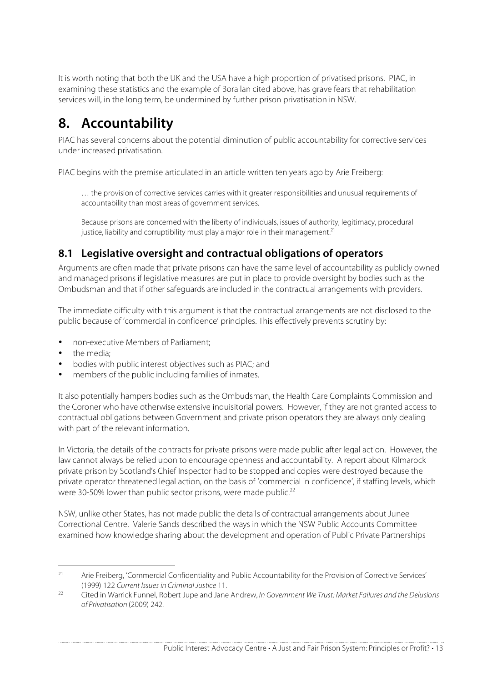It is worth noting that both the UK and the USA have a high proportion of privatised prisons. PIAC, in examining these statistics and the example of Borallan cited above, has grave fears that rehabilitation services will, in the long term, be undermined by further prison privatisation in NSW.

# **8. Accountability**

PIAC has several concerns about the potential diminution of public accountability for corrective services under increased privatisation.

PIAC begins with the premise articulated in an article written ten years ago by Arie Freiberg:

… the provision of corrective services carries with it greater responsibilities and unusual requirements of accountability than most areas of government services.

Because prisons are concerned with the liberty of individuals, issues of authority, legitimacy, procedural justice, liability and corruptibility must play a major role in their management.<sup>21</sup>

## **8.1 Legislative oversight and contractual obligations of operators**

Arguments are often made that private prisons can have the same level of accountability as publicly owned and managed prisons if legislative measures are put in place to provide oversight by bodies such as the Ombudsman and that if other safeguards are included in the contractual arrangements with providers.

The immediate difficulty with this argument is that the contractual arrangements are not disclosed to the public because of 'commercial in confidence' principles. This effectively prevents scrutiny by:

- non-executive Members of Parliament;
- the media:
- bodies with public interest objectives such as PIAC; and
- members of the public including families of inmates.

It also potentially hampers bodies such as the Ombudsman, the Health Care Complaints Commission and the Coroner who have otherwise extensive inquisitorial powers. However, if they are not granted access to contractual obligations between Government and private prison operators they are always only dealing with part of the relevant information.

In Victoria, the details of the contracts for private prisons were made public after legal action. However, the law cannot always be relied upon to encourage openness and accountability. A report about Kilmarock private prison by Scotland's Chief Inspector had to be stopped and copies were destroyed because the private operator threatened legal action, on the basis of 'commercial in confidence', if staffing levels, which were 30-50% lower than public sector prisons, were made public.<sup>22</sup>

NSW, unlike other States, has not made public the details of contractual arrangements about Junee Correctional Centre. Valerie Sands described the ways in which the NSW Public Accounts Committee examined how knowledge sharing about the development and operation of Public Private Partnerships

<sup>&</sup>lt;sup>21</sup> Arie Freiberg, 'Commercial Confidentiality and Public Accountability for the Provision of Corrective Services' (1999) 122 Current Issues in Criminal Justice 11.

<sup>&</sup>lt;sup>22</sup> Cited in Warrick Funnel, Robert Jupe and Jane Andrew, In Government We Trust: Market Failures and the Delusions of Privatisation (2009) 242.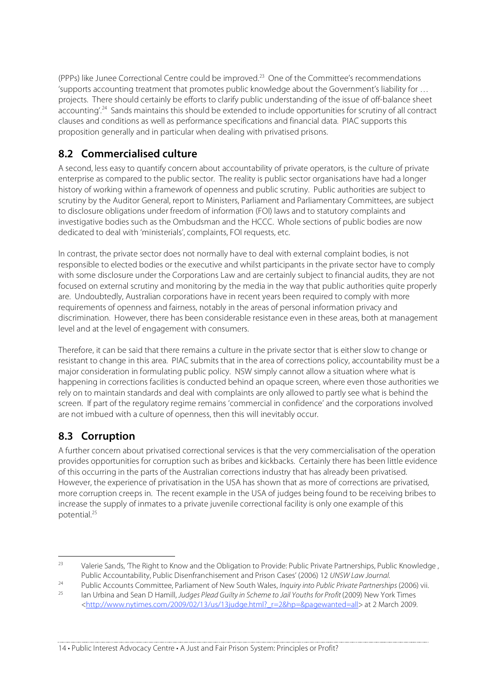(PPPs) like Junee Correctional Centre could be improved.<sup>23</sup> One of the Committee's recommendations 'supports accounting treatment that promotes public knowledge about the Government's liability for … projects. There should certainly be efforts to clarify public understanding of the issue of off-balance sheet accounting'.<sup>24</sup> Sands maintains this should be extended to include opportunities for scrutiny of all contract clauses and conditions as well as performance specifications and financial data. PIAC supports this proposition generally and in particular when dealing with privatised prisons.

## **8.2 Commercialised culture**

A second, less easy to quantify concern about accountability of private operators, is the culture of private enterprise as compared to the public sector. The reality is public sector organisations have had a longer history of working within a framework of openness and public scrutiny. Public authorities are subject to scrutiny by the Auditor General, report to Ministers, Parliament and Parliamentary Committees, are subject to disclosure obligations under freedom of information (FOI) laws and to statutory complaints and investigative bodies such as the Ombudsman and the HCCC. Whole sections of public bodies are now dedicated to deal with 'ministerials', complaints, FOI requests, etc.

In contrast, the private sector does not normally have to deal with external complaint bodies, is not responsible to elected bodies or the executive and whilst participants in the private sector have to comply with some disclosure under the Corporations Law and are certainly subject to financial audits, they are not focused on external scrutiny and monitoring by the media in the way that public authorities quite properly are. Undoubtedly, Australian corporations have in recent years been required to comply with more requirements of openness and fairness, notably in the areas of personal information privacy and discrimination. However, there has been considerable resistance even in these areas, both at management level and at the level of engagement with consumers.

Therefore, it can be said that there remains a culture in the private sector that is either slow to change or resistant to change in this area. PIAC submits that in the area of corrections policy, accountability must be a major consideration in formulating public policy. NSW simply cannot allow a situation where what is happening in corrections facilities is conducted behind an opaque screen, where even those authorities we rely on to maintain standards and deal with complaints are only allowed to partly see what is behind the screen. If part of the regulatory regime remains 'commercial in confidence' and the corporations involved are not imbued with a culture of openness, then this will inevitably occur.

## **8.3 Corruption**

A further concern about privatised correctional services is that the very commercialisation of the operation provides opportunities for corruption such as bribes and kickbacks. Certainly there has been little evidence of this occurring in the parts of the Australian corrections industry that has already been privatised. However, the experience of privatisation in the USA has shown that as more of corrections are privatised, more corruption creeps in. The recent example in the USA of judges being found to be receiving bribes to increase the supply of inmates to a private juvenile correctional facility is only one example of this potential.25

<sup>&</sup>lt;sup>23</sup> Valerie Sands, The Right to Know and the Obligation to Provide: Public Private Partnerships, Public Knowledge, Public Accountability, Public Disenfranchisement and Prison Cases' (2006) 12 UNSW Law Journal.

<sup>&</sup>lt;sup>24</sup> Public Accounts Committee, Parliament of New South Wales, Inquiry into Public Private Partnerships (2006) vii.<br><sup>25</sup> Publishing and Sean D. Hamill, Judges Pland Cuilty in Schame to Jail Youths for Praft (2000) New York

Ian Urbina and Sean D Hamill, Judges Plead Guilty in Scheme to Jail Youths for Profit (2009) New York Times <http://www.nytimes.com/2009/02/13/us/13judge.html?\_r=2&hp=&pagewanted=all> at 2 March 2009.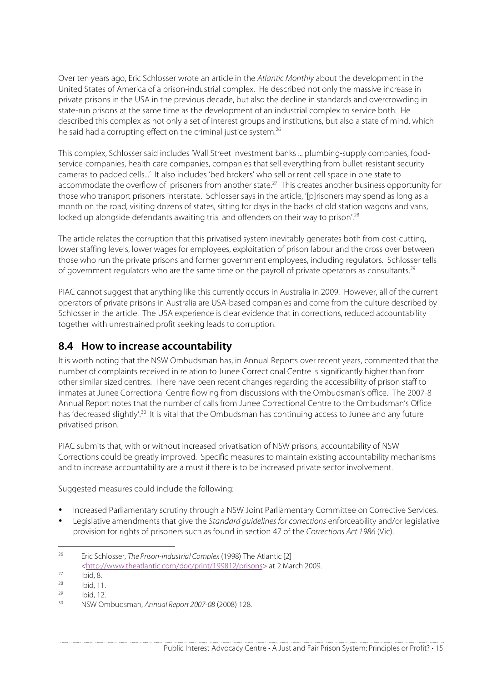Over ten years ago, Eric Schlosser wrote an article in the Atlantic Monthly about the development in the United States of America of a prison-industrial complex. He described not only the massive increase in private prisons in the USA in the previous decade, but also the decline in standards and overcrowding in state-run prisons at the same time as the development of an industrial complex to service both. He described this complex as not only a set of interest groups and institutions, but also a state of mind, which he said had a corrupting effect on the criminal justice system.<sup>26</sup>

This complex, Schlosser said includes 'Wall Street investment banks ... plumbing-supply companies, foodservice-companies, health care companies, companies that sell everything from bullet-resistant security cameras to padded cells...' It also includes 'bed brokers' who sell or rent cell space in one state to accommodate the overflow of prisoners from another state.<sup>27</sup> This creates another business opportunity for those who transport prisoners interstate. Schlosser says in the article, '[p]risoners may spend as long as a month on the road, visiting dozens of states, sitting for days in the backs of old station wagons and vans, locked up alongside defendants awaiting trial and offenders on their way to prison'.<sup>28</sup>

The article relates the corruption that this privatised system inevitably generates both from cost-cutting, lower staffing levels, lower wages for employees, exploitation of prison labour and the cross over between those who run the private prisons and former government employees, including regulators. Schlosser tells of government regulators who are the same time on the payroll of private operators as consultants.<sup>29</sup>

PIAC cannot suggest that anything like this currently occurs in Australia in 2009. However, all of the current operators of private prisons in Australia are USA-based companies and come from the culture described by Schlosser in the article. The USA experience is clear evidence that in corrections, reduced accountability together with unrestrained profit seeking leads to corruption.

#### **8.4 How to increase accountability**

It is worth noting that the NSW Ombudsman has, in Annual Reports over recent years, commented that the number of complaints received in relation to Junee Correctional Centre is significantly higher than from other similar sized centres. There have been recent changes regarding the accessibility of prison staff to inmates at Junee Correctional Centre flowing from discussions with the Ombudsman's office. The 2007-8 Annual Report notes that the number of calls from Junee Correctional Centre to the Ombudsman's Office has 'decreased slightly'.<sup>30</sup> It is vital that the Ombudsman has continuing access to Junee and any future privatised prison.

PIAC submits that, with or without increased privatisation of NSW prisons, accountability of NSW Corrections could be greatly improved. Specific measures to maintain existing accountability mechanisms and to increase accountability are a must if there is to be increased private sector involvement.

Suggested measures could include the following:

- Increased Parliamentary scrutiny through a NSW Joint Parliamentary Committee on Corrective Services.
- Legislative amendments that give the Standard guidelines for corrections enforceability and/or legislative provision for rights of prisoners such as found in section 47 of the Corrections Act 1986 (Vic).

<sup>&</sup>lt;sup>26</sup> Eric Schlosser, The Prison-Industrial Complex (1998) The Atlantic [2] <http://www.theatlantic.com/doc/print/199812/prisons> at 2 March 2009.

 $\overline{\text{27}}$  Ibid, 8.

 $\frac{28}{29}$  Ibid, 11.

 $^{29}$  Ibid, 12.

<sup>30</sup> NSW Ombudsman, Annual Report 2007-08 (2008) 128.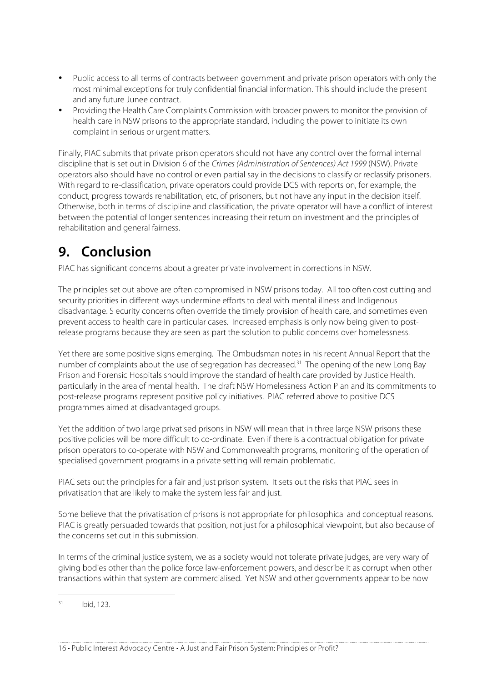- Public access to all terms of contracts between government and private prison operators with only the most minimal exceptions for truly confidential financial information. This should include the present and any future Junee contract.
- Providing the Health Care Complaints Commission with broader powers to monitor the provision of health care in NSW prisons to the appropriate standard, including the power to initiate its own complaint in serious or urgent matters.

Finally, PIAC submits that private prison operators should not have any control over the formal internal discipline that is set out in Division 6 of the Crimes (Administration of Sentences) Act 1999 (NSW). Private operators also should have no control or even partial say in the decisions to classify or reclassify prisoners. With regard to re-classification, private operators could provide DCS with reports on, for example, the conduct, progress towards rehabilitation, etc, of prisoners, but not have any input in the decision itself. Otherwise, both in terms of discipline and classification, the private operator will have a conflict of interest between the potential of longer sentences increasing their return on investment and the principles of rehabilitation and general fairness.

# **9. Conclusion**

PIAC has significant concerns about a greater private involvement in corrections in NSW.

The principles set out above are often compromised in NSW prisons today. All too often cost cutting and security priorities in different ways undermine efforts to deal with mental illness and Indigenous disadvantage. S ecurity concerns often override the timely provision of health care, and sometimes even prevent access to health care in particular cases. Increased emphasis is only now being given to postrelease programs because they are seen as part the solution to public concerns over homelessness.

Yet there are some positive signs emerging. The Ombudsman notes in his recent Annual Report that the number of complaints about the use of segregation has decreased.<sup>31</sup> The opening of the new Long Bay Prison and Forensic Hospitals should improve the standard of health care provided by Justice Health, particularly in the area of mental health. The draft NSW Homelessness Action Plan and its commitments to post-release programs represent positive policy initiatives. PIAC referred above to positive DCS programmes aimed at disadvantaged groups.

Yet the addition of two large privatised prisons in NSW will mean that in three large NSW prisons these positive policies will be more difficult to co-ordinate. Even if there is a contractual obligation for private prison operators to co-operate with NSW and Commonwealth programs, monitoring of the operation of specialised government programs in a private setting will remain problematic.

PIAC sets out the principles for a fair and just prison system. It sets out the risks that PIAC sees in privatisation that are likely to make the system less fair and just.

Some believe that the privatisation of prisons is not appropriate for philosophical and conceptual reasons. PIAC is greatly persuaded towards that position, not just for a philosophical viewpoint, but also because of the concerns set out in this submission.

In terms of the criminal justice system, we as a society would not tolerate private judges, are very wary of giving bodies other than the police force law-enforcement powers, and describe it as corrupt when other transactions within that system are commercialised. Yet NSW and other governments appear to be now

 $31$  Ibid, 123.